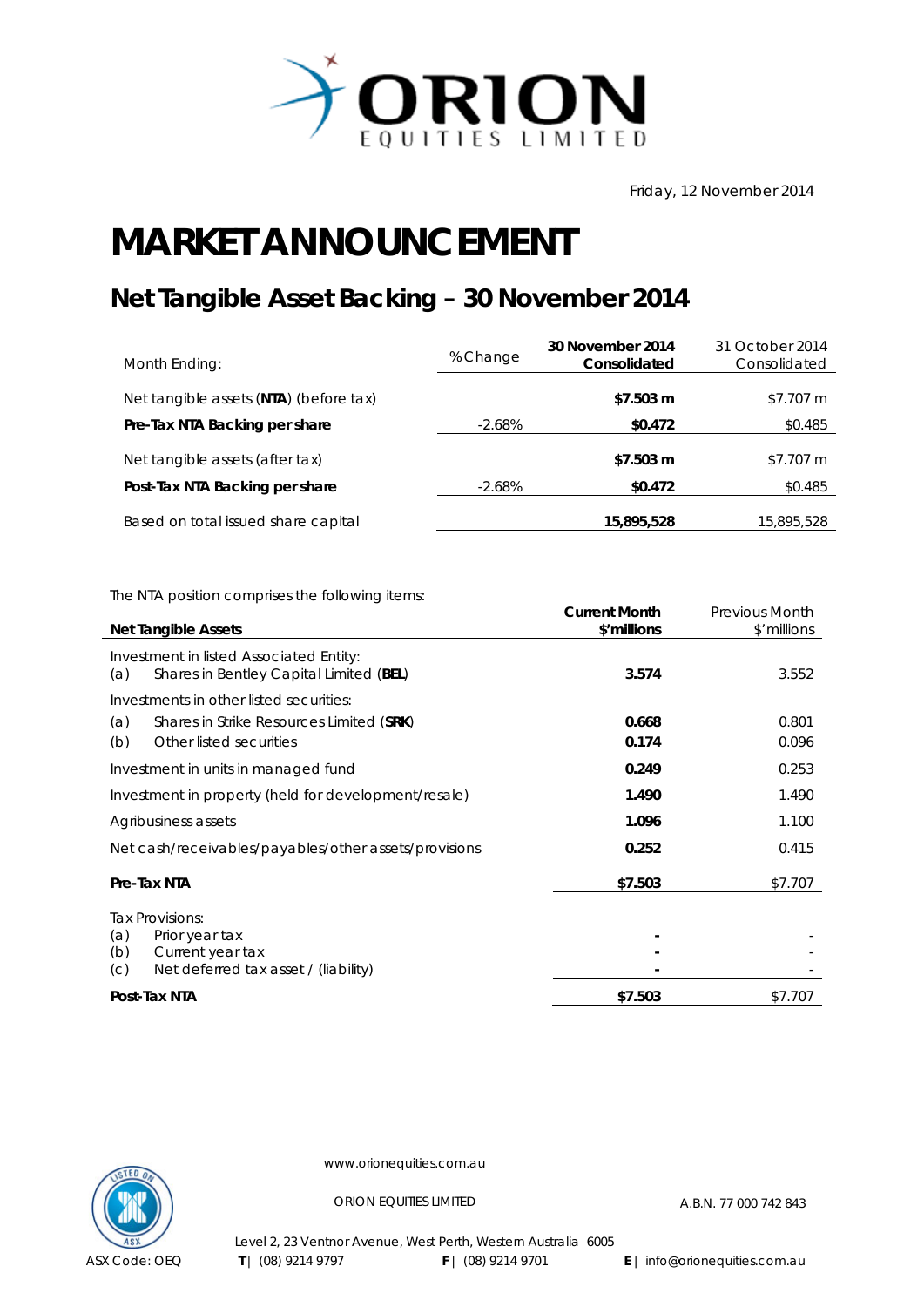

Friday, 12 November 2014

## **MARKET ANNOUNCEMENT**

## **Net Tangible Asset Backing – 30 November 2014**

| Month Ending:                          | % Change  | 30 November 2014<br>Consolidated | 31 October 2014<br>Consolidated |
|----------------------------------------|-----------|----------------------------------|---------------------------------|
| Net tangible assets (NTA) (before tax) |           | \$7.503 m                        | \$7.707 m                       |
| Pre-Tax NTA Backing per share          | $-2.68\%$ | \$0.472                          | \$0.485                         |
| Net tangible assets (after tax)        |           | \$7.503 m                        | \$7.707 m                       |
| Post-Tax NTA Backing per share         | $-2.68\%$ | \$0.472                          | \$0.485                         |
| Based on total issued share capital    |           | 15,895,528                       | 15,895,528                      |

The NTA position comprises the following items:

| <b>Net Tangible Assets</b>                                                                | <b>Current Month</b><br>\$'millions | <b>Previous Month</b><br>\$'millions |
|-------------------------------------------------------------------------------------------|-------------------------------------|--------------------------------------|
|                                                                                           |                                     |                                      |
| Investment in listed Associated Entity:<br>Shares in Bentley Capital Limited (BEL)<br>(a) | 3.574                               | 3.552                                |
| Investments in other listed securities:                                                   |                                     |                                      |
| Shares in Strike Resources Limited (SRK)<br>(a)                                           | 0.668                               | 0.801                                |
| Other listed securities<br>(b)                                                            | 0.174                               | 0.096                                |
| Investment in units in managed fund                                                       | 0.249                               | 0.253                                |
| Investment in property (held for development/resale)                                      | 1.490                               | 1.490                                |
| Agribusiness assets                                                                       | 1.096                               | 1.100                                |
| Net cash/receivables/payables/other assets/provisions                                     | 0.252                               | 0.415                                |
| Pre-Tax NTA                                                                               | \$7.503                             | \$7.707                              |
| Tax Provisions:                                                                           |                                     |                                      |
| (a)<br>Prior year tax                                                                     |                                     |                                      |
| (b)<br>Current year tax                                                                   |                                     |                                      |
| Net deferred tax asset / (liability)<br>(C)                                               |                                     |                                      |
| Post-Tax NTA                                                                              | \$7.503                             | \$7.707                              |



www.orionequities.com.au

ORION EQUITIES LIMITED A.B.N. 77 000 742 843

Level 2, 23 Ventnor Avenue, West Perth, Western Australia 6005 **T** | (08) 9214 9797 **F** | (08) 9214 9701 **E** | info@orionequities.com.au